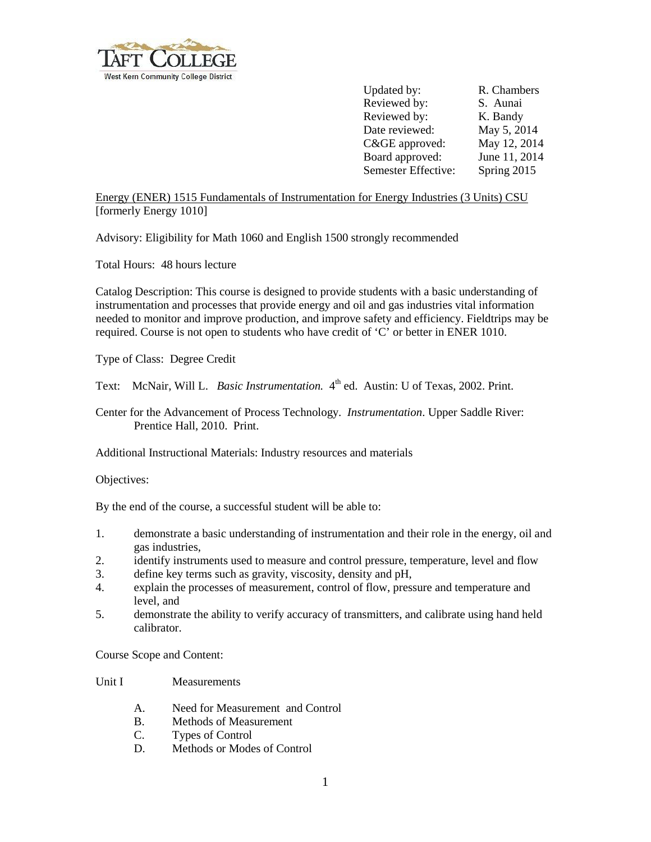

Updated by: R. Chambers Reviewed by: S. Aunai Reviewed by: K. Bandy Date reviewed: May 5, 2014 C&GE approved: May 12, 2014 Board approved: June 11, 2014 Semester Effective: Spring 2015

Energy (ENER) 1515 Fundamentals of Instrumentation for Energy Industries (3 Units) CSU [formerly Energy 1010]

Advisory: Eligibility for Math 1060 and English 1500 strongly recommended

Total Hours: 48 hours lecture

Catalog Description: This course is designed to provide students with a basic understanding of instrumentation and processes that provide energy and oil and gas industries vital information needed to monitor and improve production, and improve safety and efficiency. Fieldtrips may be required. Course is not open to students who have credit of 'C' or better in ENER 1010.

Type of Class: Degree Credit

Text: McNair, Will L. *Basic Instrumentation*. 4<sup>th</sup> ed. Austin: U of Texas, 2002. Print.

Center for the Advancement of Process Technology. *Instrumentation*. Upper Saddle River: Prentice Hall, 2010. Print.

Additional Instructional Materials: Industry resources and materials

Objectives:

By the end of the course, a successful student will be able to:

- 1. demonstrate a basic understanding of instrumentation and their role in the energy, oil and gas industries,
- 2. identify instruments used to measure and control pressure, temperature, level and flow
- 3. define key terms such as gravity, viscosity, density and pH,
- 4. explain the processes of measurement, control of flow, pressure and temperature and level, and
- 5. demonstrate the ability to verify accuracy of transmitters, and calibrate using hand held calibrator.

Course Scope and Content:

- Unit I Measurements
	- A. Need for Measurement and Control
	- B. Methods of Measurement
	- C. Types of Control
	- D. Methods or Modes of Control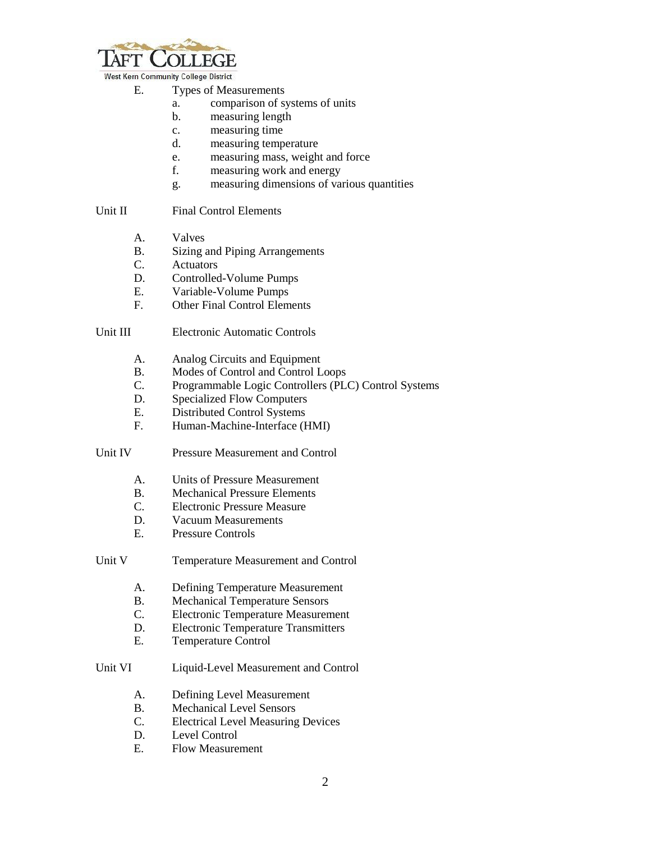

West Kern Community College District

- E. Types of Measurements
	- a. comparison of systems of units
	- b. measuring length
	- c. measuring time
	- d. measuring temperature
	- e. measuring mass, weight and force
	- f. measuring work and energy
	- g. measuring dimensions of various quantities

## Unit II Final Control Elements

- A. Valves
- B. Sizing and Piping Arrangements
- C. Actuators
- D. Controlled-Volume Pumps
- E. Variable-Volume Pumps
- F. Other Final Control Elements

## Unit III Electronic Automatic Controls

- A. Analog Circuits and Equipment
- B. Modes of Control and Control Loops
- C. Programmable Logic Controllers (PLC) Control Systems
- D. Specialized Flow Computers
- E. Distributed Control Systems
- F. Human-Machine-Interface (HMI)

## Unit IV Pressure Measurement and Control

- A. Units of Pressure Measurement
- B. Mechanical Pressure Elements
- C. Electronic Pressure Measure
- D. Vacuum Measurements
- E. Pressure Controls

## Unit V Temperature Measurement and Control

- A. Defining Temperature Measurement
- B. Mechanical Temperature Sensors
- C. Electronic Temperature Measurement
- D. Electronic Temperature Transmitters
- E. Temperature Control

## Unit VI Liquid-Level Measurement and Control

- A. Defining Level Measurement
- B. Mechanical Level Sensors
- C. Electrical Level Measuring Devices
- D. Level Control
- E. Flow Measurement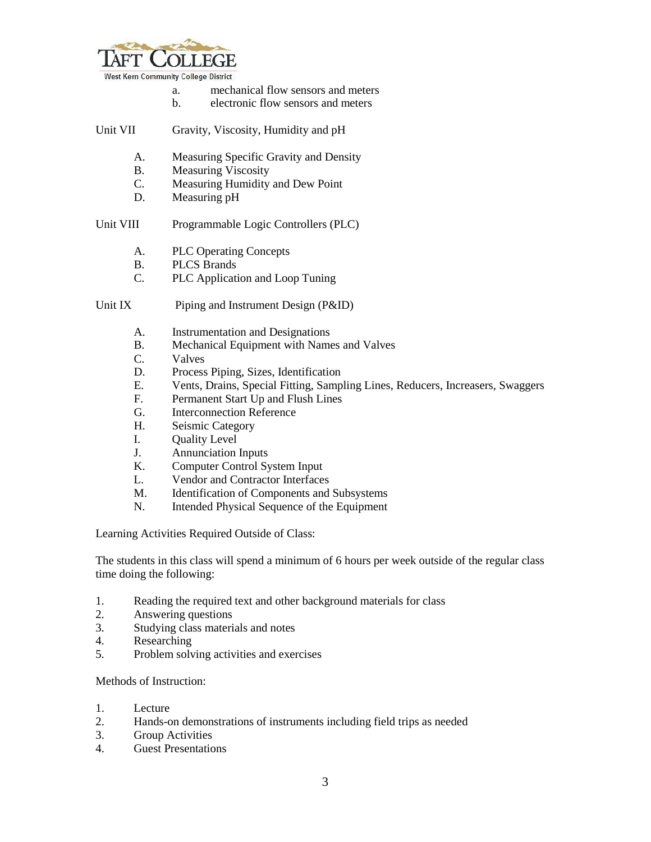

- a. mechanical flow sensors and meters
- b. electronic flow sensors and meters
- Unit VII Gravity, Viscosity, Humidity and pH
	- A. Measuring Specific Gravity and Density
	- B. Measuring Viscosity
	- C. Measuring Humidity and Dew Point
	- D. Measuring pH

# Unit VIII Programmable Logic Controllers (PLC)

- A. PLC Operating Concepts
- B. PLCS Brands
- C. PLC Application and Loop Tuning

Unit IX Piping and Instrument Design (P&ID)

- A. Instrumentation and Designations
- B. Mechanical Equipment with Names and Valves
- C. Valves
- D. Process Piping, Sizes, Identification
- E. Vents, Drains, Special Fitting, Sampling Lines, Reducers, Increasers, Swaggers
- F. Permanent Start Up and Flush Lines
- G. Interconnection Reference
- H. Seismic Category
- I. Quality Level
- J. Annunciation Inputs
- K. Computer Control System Input
- L. Vendor and Contractor Interfaces<br>M. Identification of Components and
- Identification of Components and Subsystems
- N. Intended Physical Sequence of the Equipment

Learning Activities Required Outside of Class:

The students in this class will spend a minimum of 6 hours per week outside of the regular class time doing the following:

- 1. Reading the required text and other background materials for class
- 2. Answering questions
- 3. Studying class materials and notes
- 4. Researching
- 5. Problem solving activities and exercises

Methods of Instruction:

- 1. Lecture
- 2. Hands-on demonstrations of instruments including field trips as needed
- 3. Group Activities
- 4. Guest Presentations